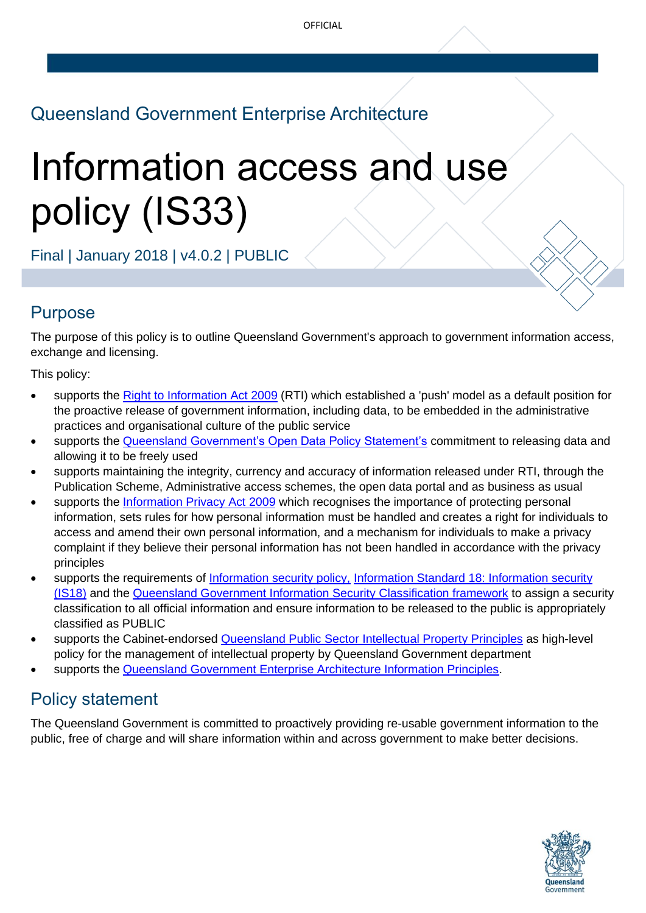# Queensland Government Enterprise Architecture

# Information access and use policy (IS33)

Final | January 2018 | v4.0.2 | PUBLIC

# Purpose

The purpose of this policy is to outline Queensland Government's approach to government information access, exchange and licensing.

This policy:

- supports the [Right to Information](https://www.legislation.qld.gov.au/view/html/inforce/current/act-2009-013) Act 2009 (RTI) which established a 'push' model as a default position for the proactive release of government information, including data, to be embedded in the administrative practices and organisational culture of the public service
- supports the [Queensland Government's Open Data Policy Statement's](https://www.qld.gov.au/data/qld-data-policy-statement.pdf) commitment to releasing data and allowing it to be freely used
- supports maintaining the integrity, currency and accuracy of information released under RTI, through the Publication Scheme, Administrative access schemes, the open data portal and as business as usual
- supports the [Information](https://www.legislation.qld.gov.au/view/html/inforce/current/act-2009-014) Privacy Act 2009 which recognises the importance of protecting personal information, sets rules for how personal information must be handled and creates a right for individuals to access and amend their own personal information, and a mechanism for individuals to make a privacy complaint if they believe their personal information has not been handled in accordance with the privacy principles
- supports the requirements of [Information security policy,](https://www.qgcio.qld.gov.au/documents/information-security-policy) [Information Standard 18: Information](https://www.qgcio.qld.gov.au/documents/information-security-is18-information-standard) security [\(IS18\)](https://www.qgcio.qld.gov.au/documents/information-security-is18-information-standard) and the [Queensland Government Information Security Classification framework](https://www.qgcio.qld.gov.au/documents/information-security-classification-framework-qgiscf) to assign a security classification to all official information and ensure information to be released to the public is appropriately classified as PUBLIC
- supports the Cabinet-endorsed **[Queensland Public Sector Intellectual Property](https://www.qld.gov.au/dsiti/assets/documents/ip-principles.pdf) Principles as high-level** policy for the management of intellectual property by Queensland Government department
- supports the [Queensland Government Enterprise Architecture Information Principles.](https://www.qgcio.qld.gov.au/documents/information-principles)

# Policy statement

The Queensland Government is committed to proactively providing re-usable government information to the public, free of charge and will share information within and across government to make better decisions.

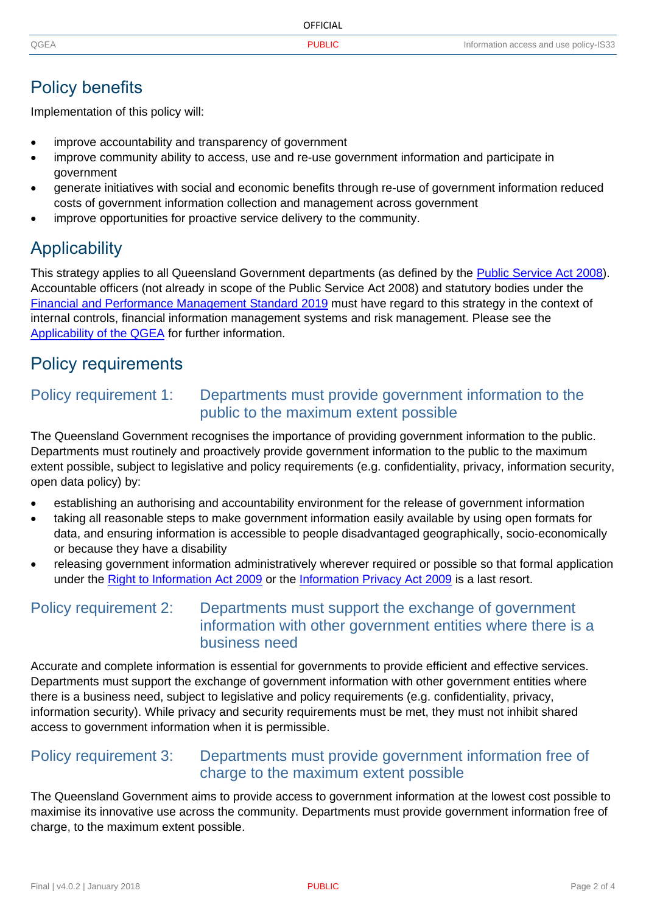|      | OFFICIAL |                                        |
|------|----------|----------------------------------------|
| QGEA | Public   | Information access and use policy-IS33 |

## Policy benefits

Implementation of this policy will:

- improve accountability and transparency of government
- improve community ability to access, use and re-use government information and participate in government
- generate initiatives with social and economic benefits through re-use of government information reduced costs of government information collection and management across government
- improve opportunities for proactive service delivery to the community.

# **Applicability**

This strategy applies to all Queensland Government departments (as defined by the [Public Service Act 2008\)](https://www.legislation.qld.gov.au/view/pdf/inforce/current/act-2008-038). Accountable officers (not already in scope of the Public Service Act 2008) and statutory bodies under the [Financial and Performance Management Standard 2019](https://www.legislation.qld.gov.au/view/pdf/asmade/sl-2019-0182) must have regard to this strategy in the context of internal controls, financial information management systems and risk management. Please see the [Applicability of the QGEA](https://www.qgcio.qld.gov.au/information-on/qgea/applicability) for further information.

## Policy requirements

#### Policy requirement 1: Departments must provide government information to the public to the maximum extent possible

The Queensland Government recognises the importance of providing government information to the public. Departments must routinely and proactively provide government information to the public to the maximum extent possible, subject to legislative and policy requirements (e.g. confidentiality, privacy, information security, open data policy) by:

- establishing an authorising and accountability environment for the release of government information
- taking all reasonable steps to make government information easily available by using open formats for data, and ensuring information is accessible to people disadvantaged geographically, socio-economically or because they have a disability
- releasing government information administratively wherever required or possible so that formal application under the [Right to Information Act 2009](https://www.legislation.qld.gov.au/view/html/inforce/current/act-2009-013) or the [Information Privacy Act 2009](https://www.legislation.qld.gov.au/view/html/inforce/current/act-2009-014) is a last resort.

#### Policy requirement 2: Departments must support the exchange of government information with other government entities where there is a business need

Accurate and complete information is essential for governments to provide efficient and effective services. Departments must support the exchange of government information with other government entities where there is a business need, subject to legislative and policy requirements (e.g. confidentiality, privacy, information security). While privacy and security requirements must be met, they must not inhibit shared access to government information when it is permissible.

#### Policy requirement 3: Departments must provide government information free of charge to the maximum extent possible

The Queensland Government aims to provide access to government information at the lowest cost possible to maximise its innovative use across the community. Departments must provide government information free of charge, to the maximum extent possible.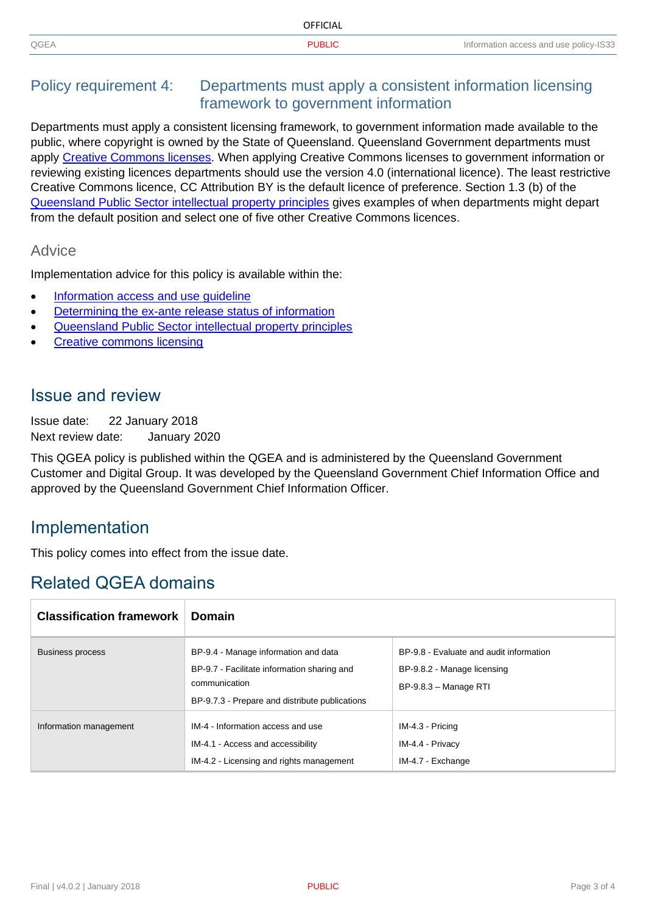|      | <b>OFFICIAL</b> |                                        |
|------|-----------------|----------------------------------------|
| QGEA | זו וםו ונ       | Information access and use policy-IS33 |

#### Policy requirement 4: Departments must apply a consistent information licensing framework to government information

Departments must apply a consistent licensing framework, to government information made available to the public, where copyright is owned by the State of Queensland. Queensland Government departments must apply [Creative Commons licenses.](https://creativecommons.org/licenses/) When applying Creative Commons licenses to government information or reviewing existing licences departments should use the version 4.0 (international licence). The least restrictive Creative Commons licence, CC Attribution BY is the default licence of preference. Section 1.3 (b) of the [Queensland Public Sector intellectual property principles](https://www.qld.gov.au/dsiti/assets/documents/ip-principles.pdf) gives examples of when departments might depart from the default position and select one of five other Creative Commons licences.

#### **Advice**

Implementation advice for this policy is available within the:

- Information access and use quideline
- Determining the ex-ante [release status of information](https://www.qgcio.qld.gov.au/documents/determining-the-ex-ante-release-status-of-information)
- [Queensland Public Sector intellectual property principles](https://www.qgcio.qld.gov.au/products/qgea-documents/2787-queensland-public-sector-intellectual-property-principles-factsheet)
- [Creative commons licensing](http://creativecommons.org.au/learn/government/)

#### Issue and review

Issue date: 22 January 2018 Next review date: January 2020

This QGEA policy is published within the QGEA and is administered by the Queensland Government Customer and Digital Group. It was developed by the Queensland Government Chief Information Office and approved by the Queensland Government Chief Information Officer.

### Implementation

This policy comes into effect from the issue date.

## Related QGEA domains

| <b>Classification framework</b> | <b>Domain</b>                                                                                                                                          |                                                                                                 |  |
|---------------------------------|--------------------------------------------------------------------------------------------------------------------------------------------------------|-------------------------------------------------------------------------------------------------|--|
| <b>Business process</b>         | BP-9.4 - Manage information and data<br>BP-9.7 - Facilitate information sharing and<br>communication<br>BP-9.7.3 - Prepare and distribute publications | BP-9.8 - Evaluate and audit information<br>BP-9.8.2 - Manage licensing<br>BP-9.8.3 - Manage RTI |  |
| Information management          | IM-4 - Information access and use<br>IM-4.1 - Access and accessibility<br>IM-4.2 - Licensing and rights management                                     | IM-4.3 - Pricing<br>IM-4.4 - Privacy<br>IM-4.7 - Exchange                                       |  |